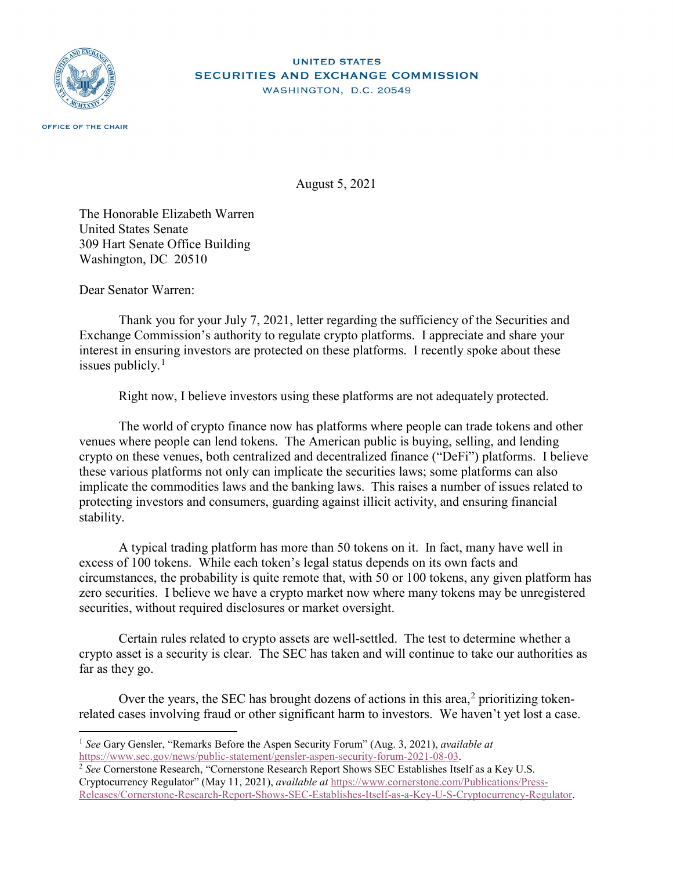

## **UNITED STATES SECURITIES AND EXCHANGE COMMISSION** WASHINGTON, D.C. 20549

August 5, 2021

The Honorable Elizabeth Warren United States Senate 309 Hart Senate Office Building Washington, DC 20510

Dear Senator Warren:

Thank you for your July 7, 2021, letter regarding the sufficiency of the Securities and Exchange Commission's authority to regulate crypto platforms. I appreciate and share your interest in ensuring investors are protected on these platforms. I recently spoke about these issues publicly. $<sup>1</sup>$  $<sup>1</sup>$  $<sup>1</sup>$ </sup>

Right now, I believe investors using these platforms are not adequately protected.

The world of crypto finance now has platforms where people can trade tokens and other venues where people can lend tokens. The American public is buying, selling, and lending crypto on these venues, both centralized and decentralized finance ("DeFi") platforms. I believe these various platforms not only can implicate the securities laws; some platforms can also implicate the commodities laws and the banking laws. This raises a number of issues related to protecting investors and consumers, guarding against illicit activity, and ensuring financial stability.

A typical trading platform has more than 50 tokens on it. In fact, many have well in excess of 100 tokens. While each token's legal status depends on its own facts and circumstances, the probability is quite remote that, with 50 or 100 tokens, any given platform has zero securities. I believe we have a crypto market now where many tokens may be unregistered securities, without required disclosures or market oversight.

Certain rules related to crypto assets are well-settled. The test to determine whether a crypto asset is a security is clear. The SEC has taken and will continue to take our authorities as far as they go.

Over the years, the SEC has brought dozens of actions in this area, $<sup>2</sup>$  $<sup>2</sup>$  $<sup>2</sup>$  prioritizing token-</sup> related cases involving fraud or other significant harm to investors. We haven't yet lost a case.

 <sup>1</sup> *See* Gary Gensler, "Remarks Before the Aspen Security Forum" (Aug. 3, 2021), *available at*  [https://www.sec.gov/news/public-statement/gensler-aspen-security-forum-2021-08-03.](https://www.sec.gov/news/public-statement/gensler-aspen-security-forum-2021-08-03)

<span id="page-0-0"></span><sup>&</sup>lt;sup>2</sup> See Cornerstone Research, "Cornerstone Research Report Shows SEC Establishes Itself as a Key U.S. Cryptocurrency Regulator" (May 11, 2021), *available at* [https://www.cornerstone.com/Publications/Press-](https://www.cornerstone.com/Publications/Press-Releases/Cornerstone-Research-Report-Shows-SEC-Establishes-Itself-as-a-Key-U-S-Cryptocurrency-Regulator)[Releases/Cornerstone-Research-Report-Shows-SEC-Establishes-Itself-as-a-Key-U-S-Cryptocurrency-Regulator.](https://www.cornerstone.com/Publications/Press-Releases/Cornerstone-Research-Report-Shows-SEC-Establishes-Itself-as-a-Key-U-S-Cryptocurrency-Regulator)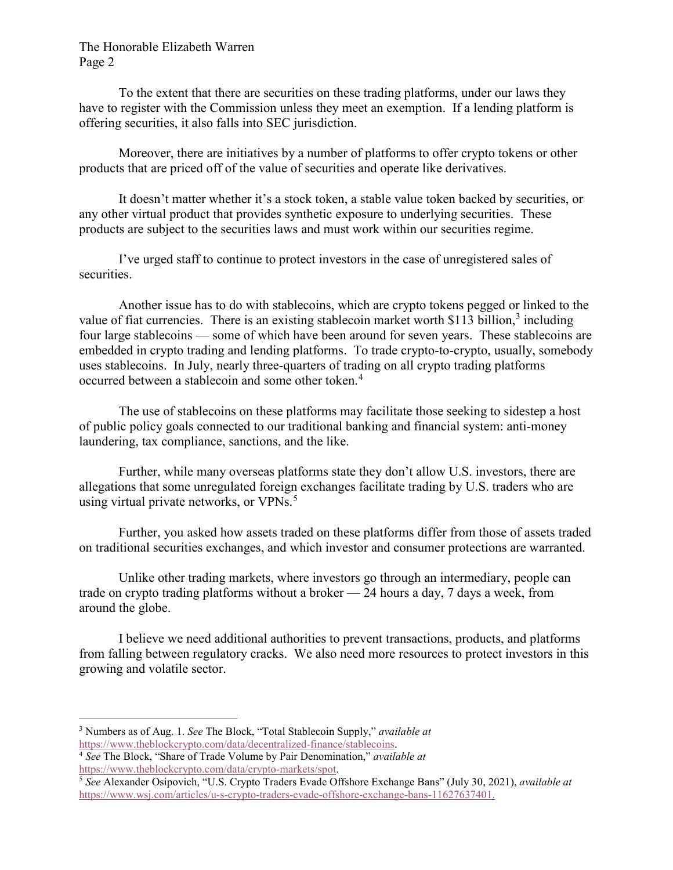## The Honorable Elizabeth Warren Page 2

To the extent that there are securities on these trading platforms, under our laws they have to register with the Commission unless they meet an exemption. If a lending platform is offering securities, it also falls into SEC jurisdiction.

Moreover, there are initiatives by a number of platforms to offer crypto tokens or other products that are priced off of the value of securities and operate like derivatives.

It doesn't matter whether it's a stock token, a stable value token backed by securities, or any other virtual product that provides synthetic exposure to underlying securities. These products are subject to the securities laws and must work within our securities regime.

I've urged staff to continue to protect investors in the case of unregistered sales of securities.

Another issue has to do with stablecoins, which are crypto tokens pegged or linked to the value of fiat currencies. There is an existing stablecoin market worth \$11[3](#page-1-1) billion, $3$  including four large stablecoins — some of which have been around for seven years. These stablecoins are embedded in crypto trading and lending platforms. To trade crypto-to-crypto, usually, somebody uses stablecoins. In July, nearly three-quarters of trading on all crypto trading platforms occurred between a stablecoin and some other token.[4](#page-1-2)

The use of stablecoins on these platforms may facilitate those seeking to sidestep a host of public policy goals connected to our traditional banking and financial system: anti-money laundering, tax compliance, sanctions, and the like.

Further, while many overseas platforms state they don't allow U.S. investors, there are allegations that some unregulated foreign exchanges facilitate trading by U.S. traders who are using virtual private networks, or VPNs.<sup>[5](#page-1-3)</sup>

Further, you asked how assets traded on these platforms differ from those of assets traded on traditional securities exchanges, and which investor and consumer protections are warranted.

Unlike other trading markets, where investors go through an intermediary, people can trade on crypto trading platforms without a broker — 24 hours a day, 7 days a week, from around the globe.

I believe we need additional authorities to prevent transactions, products, and platforms from falling between regulatory cracks. We also need more resources to protect investors in this growing and volatile sector.

<span id="page-1-1"></span><span id="page-1-0"></span> <sup>3</sup> Numbers as of Aug. 1. *See* The Block, "Total Stablecoin Supply," *available at*  [https://www.theblockcrypto.com/data/decentralized-finance/stablecoins.](https://www.theblockcrypto.com/data/decentralized-finance/stablecoins)

<span id="page-1-2"></span><sup>4</sup> *See* The Block, "Share of Trade Volume by Pair Denomination," *available at*  [https://www.theblockcrypto.com/data/crypto-markets/spot.](https://www.theblockcrypto.com/data/crypto-markets/spot)

<span id="page-1-3"></span><sup>5</sup> *See* Alexander Osipovich, "U.S. Crypto Traders Evade Offshore Exchange Bans" (July 30, 2021), *available at*  [https://www.wsj.com/articles/u-s-crypto-traders-evade-offshore-exchange-bans-11627637401.](https://www.wsj.com/articles/u-s-crypto-traders-evade-offshore-exchange-bans-11627637401)